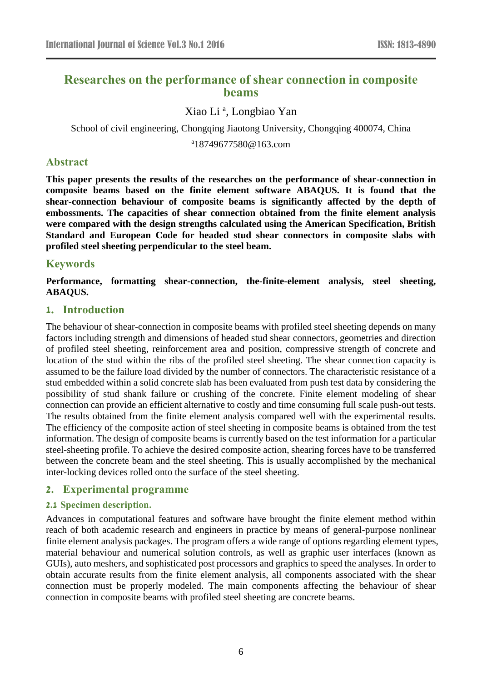# **Researches on the performance of shear connection in composite beams**

## Xiao Li<sup>a</sup>, Longbiao Yan

School of civil engineering, Chongqing Jiaotong University, Chongqing 400074, China

<sup>a</sup>18749677580@163.com

## **Abstract**

**This paper presents the results of the researches on the performance of shear-connection in composite beams based on the finite element software ABAQUS. It is found that the shear-connection behaviour of composite beams is significantly affected by the depth of embossments. The capacities of shear connection obtained from the finite element analysis were compared with the design strengths calculated using the American Specification, British Standard and European Code for headed stud shear connectors in composite slabs with profiled steel sheeting perpendicular to the steel beam.**

## **Keywords**

**Performance, formatting shear-connection, the-finite-element analysis, steel sheeting, ABAQUS.**

## **1. Introduction**

The behaviour of shear-connection in composite beams with profiled steel sheeting depends on many factors including strength and dimensions of headed stud shear connectors, geometries and direction of profiled steel sheeting, reinforcement area and position, compressive strength of concrete and location of the stud within the ribs of the profiled steel sheeting. The shear connection capacity is assumed to be the failure load divided by the number of connectors. The characteristic resistance of a stud embedded within a solid concrete slab has been evaluated from push test data by considering the possibility of stud shank failure or crushing of the concrete. Finite element modeling of shear connection can provide an efficient alternative to costly and time consuming full scale push-out tests. The results obtained from the finite element analysis compared well with the experimental results. The efficiency of the composite action of steel sheeting in composite beams is obtained from the test information. The design of composite beams is currently based on the test information for a particular steel-sheeting profile. To achieve the desired composite action, shearing forces have to be transferred between the concrete beam and the steel sheeting. This is usually accomplished by the mechanical inter-locking devices rolled onto the surface of the steel sheeting.

## **2. Experimental programme**

#### **2.1 Specimen description.**

Advances in computational features and software have brought the finite element method within reach of both academic research and engineers in practice by means of general-purpose nonlinear finite element analysis packages. The program offers a wide range of options regarding element types, material behaviour and numerical solution controls, as well as graphic user interfaces (known as GUIs), auto meshers, and sophisticated post processors and graphics to speed the analyses. In order to obtain accurate results from the finite element analysis, all components associated with the shear connection must be properly modeled. The main components affecting the behaviour of shear connection in composite beams with profiled steel sheeting are concrete beams.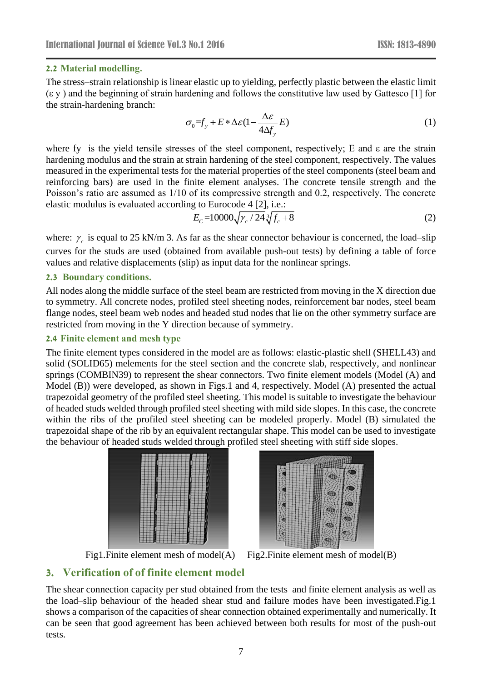#### **2.2 Material modelling.**

The stress–strain relationship is linear elastic up to yielding, perfectly plastic between the elastic limit (ε y ) and the beginning of strain hardening and follows the constitutive law used by Gattesco [1] for the strain-hardening branch:

$$
\sigma_0 = f_y + E * \Delta \varepsilon (1 - \frac{\Delta \varepsilon}{4 \Delta f_y} E) \tag{1}
$$

where fy is the yield tensile stresses of the steel component, respectively; E and  $\varepsilon$  are the strain hardening modulus and the strain at strain hardening of the steel component, respectively. The values measured in the experimental tests for the material properties of the steel components (steel beam and reinforcing bars) are used in the finite element analyses. The concrete tensile strength and the Poisson's ratio are assumed as 1/10 of its compressive strength and 0.2, respectively. The concrete elastic modulus is evaluated according to Eurocode 4 [2], i.e.:

$$
E_c = 10000 \sqrt{\gamma_c / 24} \sqrt[3]{f_c + 8} \tag{2}
$$

where:  $\gamma_c$  is equal to 25 kN/m 3. As far as the shear connector behaviour is concerned, the load–slip curves for the studs are used (obtained from available push-out tests) by defining a table of force values and relative displacements (slip) as input data for the nonlinear springs.

#### **2.3 Boundary conditions.**

All nodes along the middle surface of the steel beam are restricted from moving in the X direction due to symmetry. All concrete nodes, profiled steel sheeting nodes, reinforcement bar nodes, steel beam flange nodes, steel beam web nodes and headed stud nodes that lie on the other symmetry surface are restricted from moving in the Y direction because of symmetry.

#### **2.4 Finite element and mesh type**

The finite element types considered in the model are as follows: elastic-plastic shell (SHELL43) and solid (SOLID65) melements for the steel section and the concrete slab, respectively, and nonlinear springs (COMBIN39) to represent the shear connectors. Two finite element models (Model (A) and Model (B)) were developed, as shown in Figs.1 and 4, respectively. Model (A) presented the actual trapezoidal geometry of the profiled steel sheeting. This model is suitable to investigate the behaviour of headed studs welded through profiled steel sheeting with mild side slopes. In this case, the concrete within the ribs of the profiled steel sheeting can be modeled properly. Model (B) simulated the trapezoidal shape of the rib by an equivalent rectangular shape. This model can be used to investigate the behaviour of headed studs welded through profiled steel sheeting with stiff side slopes.





Fig1. Finite element mesh of model(A) Fig2. Finite element mesh of model(B)

## **3. Verification of of finite element model**

The shear connection capacity per stud obtained from the tests and finite element analysis as well as the load–slip behaviour of the headed shear stud and failure modes have been investigated.Fig.1 shows a comparison of the capacities of shear connection obtained experimentally and numerically. It can be seen that good agreement has been achieved between both results for most of the push-out tests.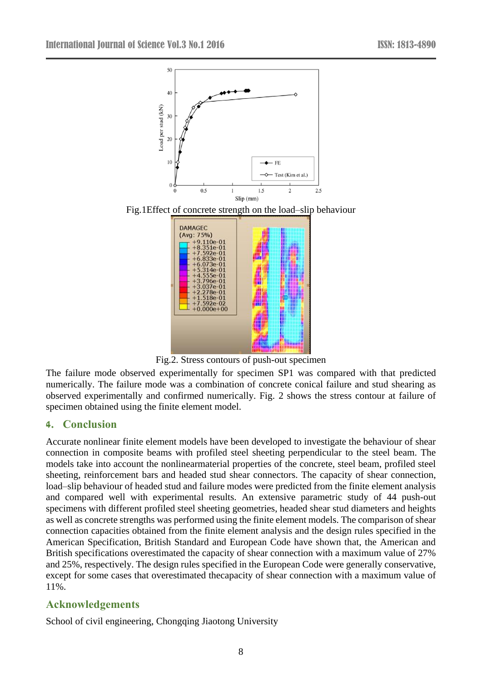

Fig.2. Stress contours of push-out specimen

The failure mode observed experimentally for specimen SP1 was compared with that predicted numerically. The failure mode was a combination of concrete conical failure and stud shearing as observed experimentally and confirmed numerically. Fig. 2 shows the stress contour at failure of specimen obtained using the finite element model.

## **4. Conclusion**

Accurate nonlinear finite element models have been developed to investigate the behaviour of shear connection in composite beams with profiled steel sheeting perpendicular to the steel beam. The models take into account the nonlinearmaterial properties of the concrete, steel beam, profiled steel sheeting, reinforcement bars and headed stud shear connectors. The capacity of shear connection, load–slip behaviour of headed stud and failure modes were predicted from the finite element analysis and compared well with experimental results. An extensive parametric study of 44 push-out specimens with different profiled steel sheeting geometries, headed shear stud diameters and heights as well as concrete strengths was performed using the finite element models. The comparison of shear connection capacities obtained from the finite element analysis and the design rules specified in the American Specification, British Standard and European Code have shown that, the American and British specifications overestimated the capacity of shear connection with a maximum value of 27% and 25%, respectively. The design rules specified in the European Code were generally conservative, except for some cases that overestimated thecapacity of shear connection with a maximum value of 11%.

## **Acknowledgements**

School of civil engineering, Chongqing Jiaotong University